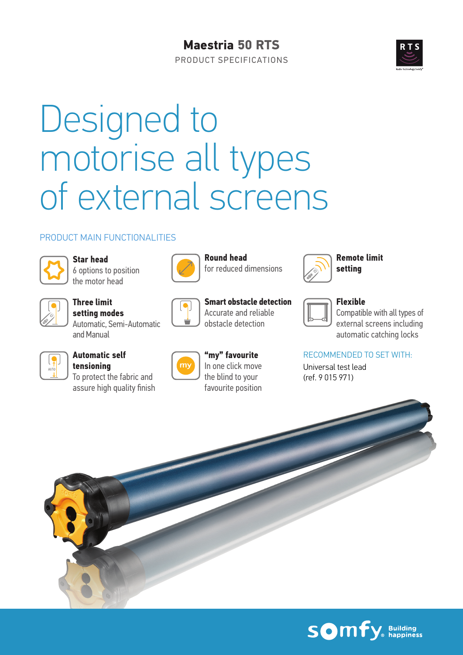## **Maestria 50 RTS**





# Designed to motorise all types of external screens

#### PRODUCT MAIN FUNCTIONALITIES



**Star head** 6 options to position the motor head



**Three limit setting modes** Automatic, Semi-Automatic and Manual



## **Automatic self**

To protect the fabric and assure high quality finish



**Round head** for reduced dimensions

**Smart obstacle detection** Accurate and reliable obstacle detection



**Remote limit setting**

## **Flexible**

Compatible with all types of external screens including automatic catching locks

#### RECOMMENDED TO SET WITH:

Universal test lead (ref. 9 015 971)

**tensioning**



**"my" favourite** In one click move the blind to your favourite position